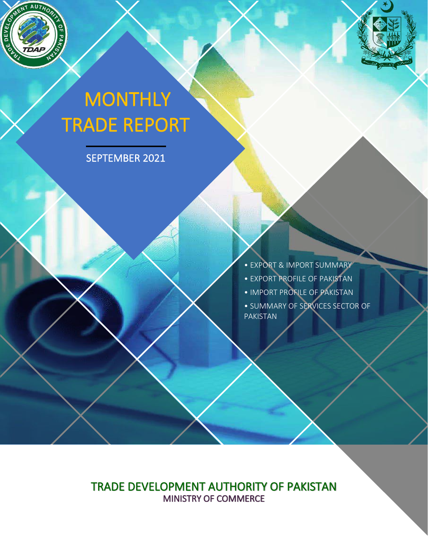

ì

# **MONTHLY** TRADE REPORT

SEPTEMBER 2021

• EXPORT & IMPORT SUMMARY • EXPORT PROFILE OF PAKISTAN • IMPORT PROFILE OF PAKISTAN • SUMMARY OF SERVICES SECTOR OF PAKISTAN

TRADE DEVELOPMENT AUTHORITY OF PAKISTAN MINISTRY OF COMMERCE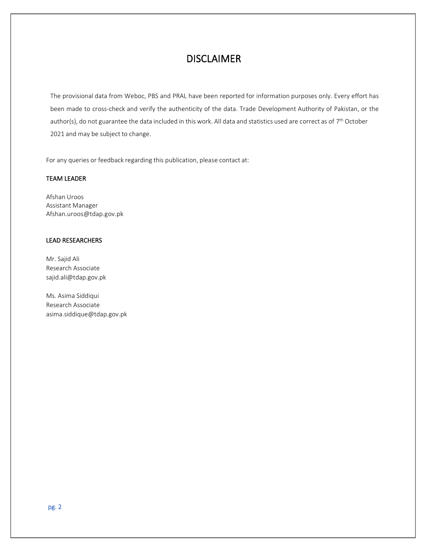### DISCLAIMER

The provisional data from Weboc, PBS and PRAL have been reported for information purposes only. Every effort has been made to cross-check and verify the authenticity of the data. Trade Development Authority of Pakistan, or the author(s), do not guarantee the data included in this work. All data and statistics used are correct as of 7<sup>th</sup> October 2021 and may be subject to change.

For any queries or feedback regarding this publication, please contact at:

#### TEAM LEADER

Afshan Uroos Assistant Manager Afshan.uroos@tdap.gov.pk

#### LEAD RESEARCHERS

Mr. Sajid Ali Research Associate sajid.ali@tdap.gov.pk

Ms. Asima Siddiqui Research Associate asima.siddique@tdap.gov.pk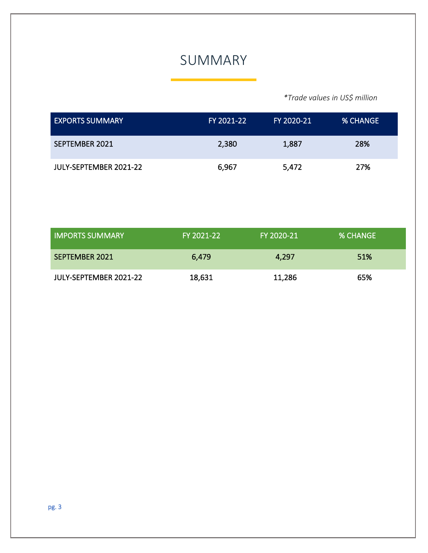### SUMMARY

*\*Trade values in US\$ million*

| <b>EXPORTS SUMMARY</b> | FY 2021-22 | FY 2020-21 | <b>% CHANGE</b> |
|------------------------|------------|------------|-----------------|
| SEPTEMBER 2021         | 2,380      | 1,887      | 28%             |
| JULY-SEPTEMBER 2021-22 | 6,967      | 5,472      | 27%             |

| <b>LIMPORTS SUMMARY</b> | FY 2021-22 | FY 2020-21 | <b>% CHANGE</b> |
|-------------------------|------------|------------|-----------------|
| SEPTEMBER 2021          | 6,479      | 4,297      | 51%             |
| JULY-SEPTEMBER 2021-22  | 18,631     | 11,286     | 65%             |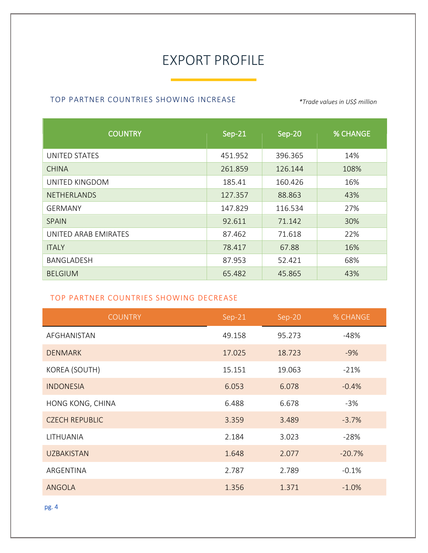## EXPORT PROFILE

### TOP PARTNER COUNTRIES SHOWING INCREASE *\*Trade values in US\$ million*

| <b>COUNTRY</b>       | Sep-21  | Sep-20  | <b>% CHANGE</b> |
|----------------------|---------|---------|-----------------|
| UNITED STATES        | 451.952 | 396.365 | 14%             |
| <b>CHINA</b>         | 261.859 | 126.144 | 108%            |
| UNITED KINGDOM       | 185.41  | 160.426 | 16%             |
| <b>NETHERLANDS</b>   | 127.357 | 88.863  | 43%             |
| <b>GERMANY</b>       | 147.829 | 116.534 | 27%             |
| <b>SPAIN</b>         | 92.611  | 71.142  | 30%             |
| UNITED ARAB EMIRATES | 87.462  | 71.618  | 22%             |
| <b>ITALY</b>         | 78.417  | 67.88   | 16%             |
| BANGLADESH           | 87.953  | 52.421  | 68%             |
| <b>BELGIUM</b>       | 65.482  | 45.865  | 43%             |

#### TOP PARTNER COUNTRIES SHOWING DECREASE

| <b>COUNTRY</b>        | Sep-21 | Sep-20 | % CHANGE |
|-----------------------|--------|--------|----------|
| AFGHANISTAN           | 49.158 | 95.273 | $-48%$   |
| <b>DENMARK</b>        | 17.025 | 18.723 | $-9%$    |
| KOREA (SOUTH)         | 15.151 | 19.063 | $-21%$   |
| <b>INDONESIA</b>      | 6.053  | 6.078  | $-0.4%$  |
| HONG KONG, CHINA      | 6.488  | 6.678  | $-3%$    |
| <b>CZECH REPUBLIC</b> | 3.359  | 3.489  | $-3.7%$  |
| LITHUANIA             | 2.184  | 3.023  | $-28%$   |
| <b>UZBAKISTAN</b>     | 1.648  | 2.077  | $-20.7%$ |
| ARGENTINA             | 2.787  | 2.789  | $-0.1%$  |
| <b>ANGOLA</b>         | 1.356  | 1.371  | $-1.0%$  |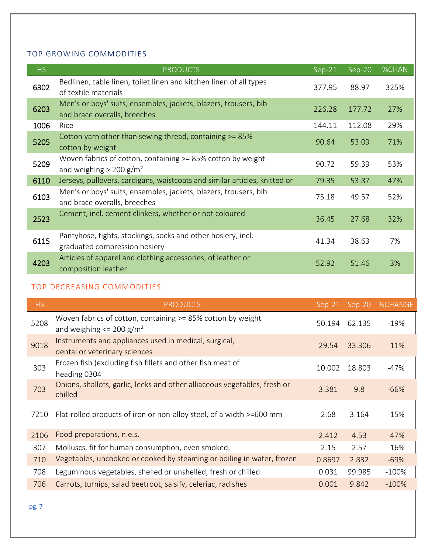#### TOP GROWING COMMODITIES

| <b>HS</b> | <b>PRODUCTS</b>                                                                                      | $Sep-21$ | Sep-20 | <b>%CHAN</b> |
|-----------|------------------------------------------------------------------------------------------------------|----------|--------|--------------|
| 6302      | Bedlinen, table linen, toilet linen and kitchen linen of all types<br>of textile materials           | 377.95   | 88.97  | 325%         |
| 6203      | Men's or boys' suits, ensembles, jackets, blazers, trousers, bib<br>and brace overalls, breeches     | 226.28   | 177.72 | 27%          |
| 1006      | Rice                                                                                                 | 144.11   | 112.08 | 29%          |
| 5205      | Cotton yarn other than sewing thread, containing >= 85%<br>cotton by weight                          | 90.64    | 53.09  | 71%          |
| 5209      | Woven fabrics of cotton, containing >= 85% cotton by weight<br>and weighing $> 200$ g/m <sup>2</sup> | 90.72    | 59.39  | 53%          |
| 6110      | Jerseys, pullovers, cardigans, waistcoats and similar articles, knitted or                           | 79.35    | 53.87  | 47%          |
| 6103      | Men's or boys' suits, ensembles, jackets, blazers, trousers, bib<br>and brace overalls, breeches     | 75.18    | 49.57  | 52%          |
| 2523      | Cement, incl. cement clinkers, whether or not coloured                                               | 36.45    | 27.68  | 32%          |
| 6115      | Pantyhose, tights, stockings, socks and other hosiery, incl.<br>graduated compression hosiery        | 41.34    | 38.63  | 7%           |
| 4203      | Articles of apparel and clothing accessories, of leather or<br>composition leather                   | 52.92    | 51.46  | 3%           |

#### TOP DECREASING COMMODITIES

| <b>HS</b> | <b>PRODUCTS</b>                                                                                         | $Sep-21$ | Sep-20 | <b>%CHANGE</b> |
|-----------|---------------------------------------------------------------------------------------------------------|----------|--------|----------------|
| 5208      | Woven fabrics of cotton, containing >= 85% cotton by weight<br>and weighing $\leq$ 200 g/m <sup>2</sup> | 50.194   | 62.135 | $-19%$         |
| 9018      | Instruments and appliances used in medical, surgical,<br>dental or veterinary sciences                  | 29.54    | 33.306 | $-11\%$        |
| 303       | Frozen fish (excluding fish fillets and other fish meat of<br>heading 0304                              | 10.002   | 18.803 | -47%           |
| 703       | Onions, shallots, garlic, leeks and other alliaceous vegetables, fresh or<br>chilled                    | 3.381    | 9.8    | $-66%$         |
| 7210      | Flat-rolled products of iron or non-alloy steel, of a width >=600 mm                                    | 2.68     | 3.164  | $-15%$         |
| 2106      | Food preparations, n.e.s.                                                                               | 2.412    | 4.53   | $-47%$         |
| 307       | Molluscs, fit for human consumption, even smoked,                                                       | 2.15     | 2.57   | $-16%$         |
| 710       | Vegetables, uncooked or cooked by steaming or boiling in water, frozen                                  | 0.8697   | 2.832  | $-69%$         |
| 708       | Leguminous vegetables, shelled or unshelled, fresh or chilled                                           | 0.031    | 99.985 | $-100%$        |
| 706       | Carrots, turnips, salad beetroot, salsify, celeriac, radishes                                           | 0.001    | 9.842  | $-100%$        |
|           |                                                                                                         |          |        |                |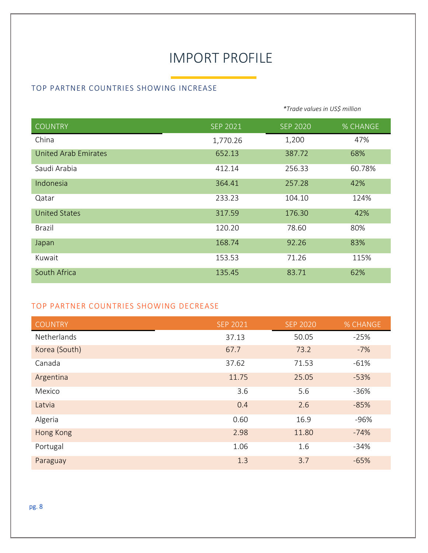## IMPORT PROFILE

#### TOP PARTNER COUNTRIES SHOWING INCREASE

|                             |                 | *Trade values in US\$ million |                 |
|-----------------------------|-----------------|-------------------------------|-----------------|
| <b>COUNTRY</b>              | <b>SEP 2021</b> | <b>SEP 2020</b>               | <b>% CHANGE</b> |
| China                       | 1,770.26        | 1,200                         | 47%             |
| <b>United Arab Emirates</b> | 652.13          | 387.72                        | 68%             |
| Saudi Arabia                | 412.14          | 256.33                        | 60.78%          |
| Indonesia                   | 364.41          | 257.28                        | 42%             |
| Qatar                       | 233.23          | 104.10                        | 124%            |
| <b>United States</b>        | 317.59          | 176.30                        | 42%             |
| <b>Brazil</b>               | 120.20          | 78.60                         | 80%             |
| Japan                       | 168.74          | 92.26                         | 83%             |
| Kuwait                      | 153.53          | 71.26                         | 115%            |
| South Africa                | 135.45          | 83.71                         | 62%             |

#### TOP PARTNER COUNTRIES SHOWING DECREASE

| <b>COUNTRY</b> | <b>SEP 2021</b> | <b>SEP 2020</b> | % CHANGE |
|----------------|-----------------|-----------------|----------|
| Netherlands    | 37.13           | 50.05           | $-25%$   |
| Korea (South)  | 67.7            | 73.2            | $-7%$    |
| Canada         | 37.62           | 71.53           | $-61%$   |
| Argentina      | 11.75           | 25.05           | $-53%$   |
| Mexico         | 3.6             | 5.6             | $-36%$   |
| Latvia         | 0.4             | 2.6             | $-85%$   |
| Algeria        | 0.60            | 16.9            | $-96%$   |
| Hong Kong      | 2.98            | 11.80           | $-74%$   |
| Portugal       | 1.06            | 1.6             | $-34%$   |
| Paraguay       | 1.3             | 3.7             | $-65%$   |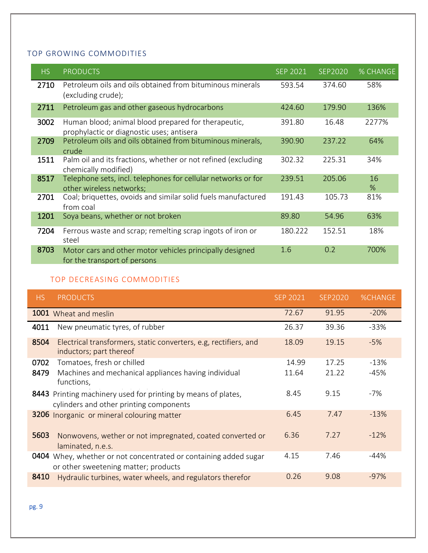#### TOP GROWING COMMODITIES

| HS   | <b>PRODUCTS</b>                                                                                  | <b>SEP 2021</b> | <b>SEP2020</b> | % CHANGE   |
|------|--------------------------------------------------------------------------------------------------|-----------------|----------------|------------|
| 2710 | Petroleum oils and oils obtained from bituminous minerals<br>(excluding crude);                  | 593.54          | 374.60         | 58%        |
| 2711 | Petroleum gas and other gaseous hydrocarbons                                                     | 424.60          | 179.90         | 136%       |
| 3002 | Human blood; animal blood prepared for therapeutic,<br>prophylactic or diagnostic uses; antisera | 391.80          | 16.48          | 2277%      |
| 2709 | Petroleum oils and oils obtained from bituminous minerals,<br>crude                              | 390.90          | 237.22         | 64%        |
| 1511 | Palm oil and its fractions, whether or not refined (excluding<br>chemically modified)            | 302.32          | 225.31         | 34%        |
| 8517 | Telephone sets, incl. telephones for cellular networks or for<br>other wireless networks;        | 239.51          | 205.06         | 16<br>$\%$ |
| 2701 | Coal; briquettes, ovoids and similar solid fuels manufactured<br>from coal                       | 191.43          | 105.73         | 81%        |
| 1201 | Soya beans, whether or not broken                                                                | 89.80           | 54.96          | 63%        |
| 7204 | Ferrous waste and scrap; remelting scrap ingots of iron or<br>steel                              | 180.222         | 152.51         | 18%        |
| 8703 | Motor cars and other motor vehicles principally designed<br>for the transport of persons         | 1.6             | 0.2            | 700%       |

#### TOP DECREASING COMMODITIES

| HS.          | <b>PRODUCTS</b>                                                                                     | <b>SEP 2021</b> | SFP2020        | <b>%CHANGE</b>   |
|--------------|-----------------------------------------------------------------------------------------------------|-----------------|----------------|------------------|
|              | 1001 Wheat and meslin                                                                               | 72.67           | 91.95          | $-20%$           |
| 4011         | New pneumatic tyres, of rubber                                                                      | 26.37           | 39.36          | $-33%$           |
| 8504         | Electrical transformers, static converters, e.g, rectifiers, and<br>inductors; part thereof         | 18.09           | 19.15          | $-5%$            |
| 0702<br>8479 | Tomatoes, fresh or chilled<br>Machines and mechanical appliances having individual<br>functions,    | 14.99<br>11.64  | 17.25<br>21.22 | $-13%$<br>$-45%$ |
| 8443         | Printing machinery used for printing by means of plates,<br>cylinders and other printing components | 8.45            | 9.15           | $-7%$            |
|              | 3206 Inorganic or mineral colouring matter                                                          | 6.45            | 7.47           | $-13%$           |
| 5603         | Nonwovens, wether or not impregnated, coated converted or<br>laminated, n.e.s.                      | 6.36            | 7.27           | $-12%$           |
| 0404         | Whey, whether or not concentrated or containing added sugar<br>or other sweetening matter; products | 4.15            | 7.46           | $-44%$           |
| 8410         | Hydraulic turbines, water wheels, and regulators therefor                                           | 0.26            | 9.08           | $-97%$           |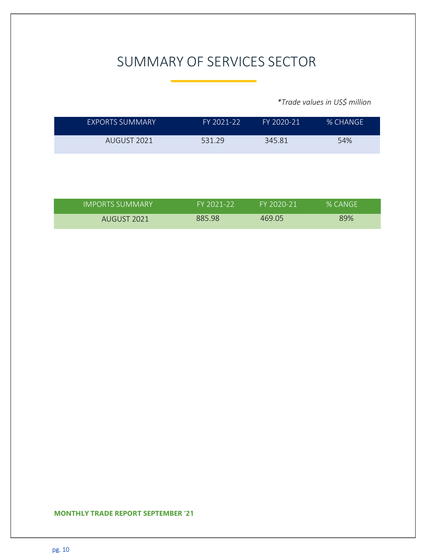# SUMMARY OF SERVICES SECTOR

*\*Trade values in US\$ million*

**1**

|             |        | $FY 2020 - 21$ | % CHANGE |
|-------------|--------|----------------|----------|
| AUGUST 2021 | 531 29 | 345.81         | 54%      |

| IIMPORTS SUMMARY' | FY 2021-22 | FY 2020-21 | % CANGE |
|-------------------|------------|------------|---------|
| AUGUST 2021       | 885.98     | 469.05     | 89%     |

#### **MONTHLY TRADE REPORT SEPTEMBER '21 1**